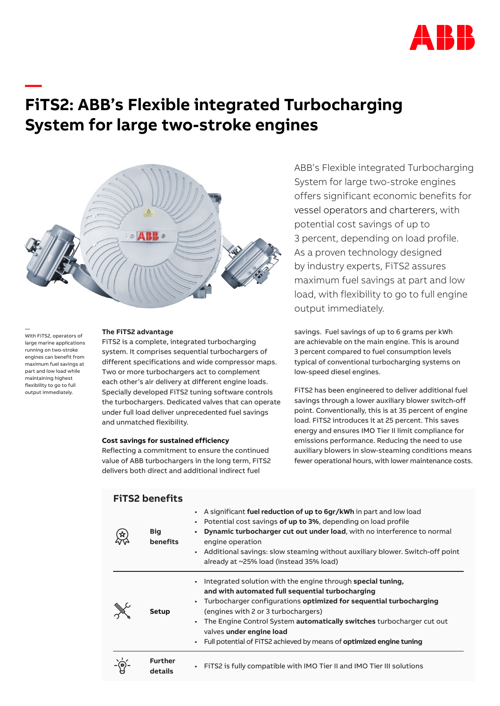

# **FiTS2: ABB's Flexible integrated Turbocharging System for large two-stroke engines**



— With FiTS2, operators of large marine applications running on two-stroke engines can benefit from maximum fuel savings at part and low load while maintaining highest flexibility to go to full output immediately.

**—**

# **The FiTS2 advantage**

FiTS2 is a complete, integrated turbocharging system. It comprises sequential turbochargers of different specifications and wide compressor maps. Two or more turbochargers act to complement each other's air delivery at different engine loads. Specially developed FiTS2 tuning software controls the turbochargers. Dedicated valves that can operate under full load deliver unprecedented fuel savings and unmatched flexibility.

# **Cost savings for sustained efficiency**

**FiTS2 benefits**

Reflecting a commitment to ensure the continued value of ABB turbochargers in the long term, FiTS2 delivers both direct and additional indirect fuel

ABB's Flexible integrated Turbocharging System for large two-stroke engines offers significant economic benefits for vessel operators and charterers, with potential cost savings of up to 3 percent, depending on load profile. As a proven technology designed by industry experts, FiTS2 assures maximum fuel savings at part and low load, with flexibility to go to full engine output immediately.

savings. Fuel savings of up to 6 grams per kWh are achievable on the main engine. This is around 3 percent compared to fuel consumption levels typical of conventional turbocharging systems on low-speed diesel engines.

FiTS2 has been engineered to deliver additional fuel savings through a lower auxiliary blower switch-off point. Conventionally, this is at 35 percent of engine load. FiTS2 introduces it at 25 percent. This saves energy and ensures IMO Tier II limit compliance for emissions performance. Reducing the need to use auxiliary blowers in slow-steaming conditions means fewer operational hours, with lower maintenance costs.

|  | <b>Big</b><br>benefits | A significant fuel reduction of up to 6gr/kWh in part and low load<br>$\bullet$<br>Potential cost savings of up to 3%, depending on load profile<br>Dynamic turbocharger cut out under load, with no interference to normal<br>engine operation<br>Additional savings: slow steaming without auxiliary blower. Switch-off point<br>$\bullet$<br>already at ~25% load (instead 35% load)                                       |
|--|------------------------|-------------------------------------------------------------------------------------------------------------------------------------------------------------------------------------------------------------------------------------------------------------------------------------------------------------------------------------------------------------------------------------------------------------------------------|
|  | <b>Setup</b>           | Integrated solution with the engine through special tuning,<br>and with automated full sequential turbocharging<br>Turbocharger configurations optimized for sequential turbocharging<br>(engines with 2 or 3 turbochargers)<br>The Engine Control System <b>automatically switches</b> turbocharger cut out<br>valves under engine load<br>Full potential of FiTS2 achieved by means of optimized engine tuning<br>$\bullet$ |
|  | Further<br>details     | FITS2 is fully compatible with IMO Tier II and IMO Tier III solutions<br>$\bullet$                                                                                                                                                                                                                                                                                                                                            |